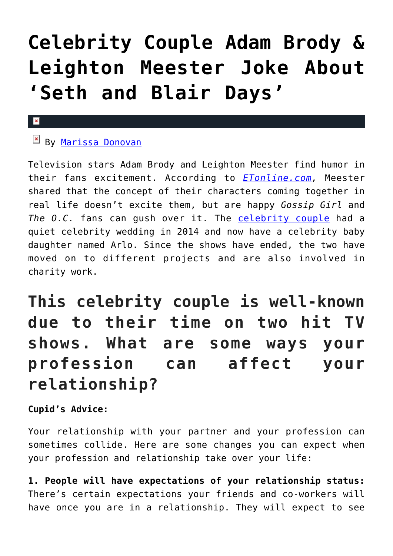# **[Celebrity Couple Adam Brody &](https://cupidspulse.com/119500/celebrity-couple-adam-brody-leighton-meester-joke-seth-blair-days/) [Leighton Meester Joke About](https://cupidspulse.com/119500/celebrity-couple-adam-brody-leighton-meester-joke-seth-blair-days/) ['Seth and Blair Days'](https://cupidspulse.com/119500/celebrity-couple-adam-brody-leighton-meester-joke-seth-blair-days/)**

#### $\pmb{\times}$

#### **E** By [Marissa Donovan](http://cupidspulse.com/118743/marissa-donovan/)

Television stars Adam Brody and Leighton Meester find humor in their fans excitement. According to *[ETonline.com,](http://www.etonline.com/tv/220590_exclusive_leighton_meester_and_adam_brody_finally_admit_they_laugh_that_blair_waldorf_married_seth_cohen/)* Meester shared that the concept of their characters coming together in real life doesn't excite them, but are happy *Gossip Girl* and The O.C. fans can gush over it. The [celebrity couple](http://cupidspulse.com/celebrity-news/celebrity-dating/) had a quiet celebrity wedding in 2014 and now have a celebrity baby daughter named Arlo. Since the shows have ended, the two have moved on to different projects and are also involved in charity work.

### **This celebrity couple is well-known due to their time on two hit TV shows. What are some ways your profession can affect your relationship?**

**Cupid's Advice:**

Your relationship with your partner and your profession can sometimes collide. Here are some changes you can expect when your profession and relationship take over your life:

**1. People will have expectations of your relationship status:** There's certain expectations your friends and co-workers will have once you are in a relationship. They will expect to see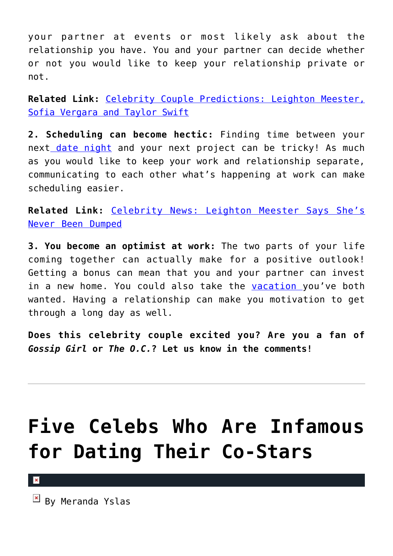your partner at events or most likely ask about the relationship you have. You and your partner can decide whether or not you would like to keep your relationship private or not.

**Related Link:** [Celebrity Couple Predictions: Leighton Meester,](http://cupidspulse.com/93203/celebrity-couple-predictions-leighton-meester-sofia-vergara-taylor-swift/) [Sofia Vergara and Taylor Swift](http://cupidspulse.com/93203/celebrity-couple-predictions-leighton-meester-sofia-vergara-taylor-swift/)

**2. Scheduling can become hectic:** Finding time between your next [date night](http://cupidspulse.com/love/weekend-date-ideas/) and your next project can be tricky! As much as you would like to keep your work and relationship separate, communicating to each other what's happening at work can make scheduling easier.

**Related Link:** [Celebrity News: Leighton Meester Says She's](http://cupidspulse.com/92840/celebrity-news-leighton-meester-never-been-dumped/) [Never Been Dumped](http://cupidspulse.com/92840/celebrity-news-leighton-meester-never-been-dumped/)

**3. You become an optimist at work:** The two parts of your life coming together can actually make for a positive outlook! Getting a bonus can mean that you and your partner can invest in a new home. You could also take the [vacation y](http://cupidspulse.com/travel/)ou've both wanted. Having a relationship can make you motivation to get through a long day as well.

**Does this celebrity couple excited you? Are you a fan of** *Gossip Girl* **or** *The O.C.***? Let us know in the comments!**

## **[Five Celebs Who Are Infamous](https://cupidspulse.com/98788/five-celebs-infamous-dating-co-stars/) [for Dating Their Co-Stars](https://cupidspulse.com/98788/five-celebs-infamous-dating-co-stars/)**

 $\pmb{\times}$ 

 $\mathbb{E}$  By Meranda Yslas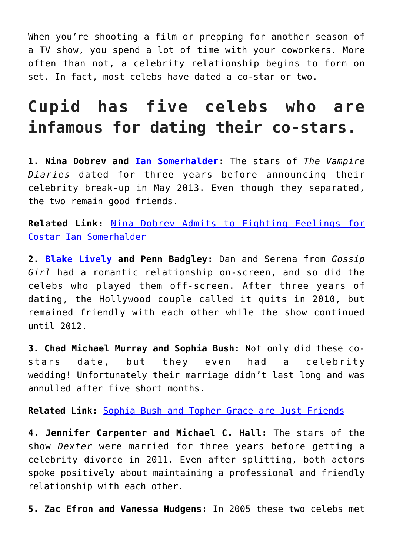When you're shooting a film or prepping for another season of a TV show, you spend a lot of time with your coworkers. More often than not, a celebrity relationship begins to form on set. In fact, most celebs have dated a co-star or two.

### **Cupid has five celebs who are infamous for dating their co-stars.**

**1. Nina Dobrev and [Ian Somerhalder](http://cupidspulse.com/94265/ian-somerhalder/):** The stars of *The Vampire Diaries* dated for three years before announcing their celebrity break-up in May 2013. Even though they separated, the two remain good friends.

**Related Link:** [Nina Dobrev Admits to Fighting Feelings for](http://cupidspulse.com/37795/nina-dobrev-fought-feelings-costar-ian-somerhalder-vampire-diaries/) [Costar Ian Somerhalder](http://cupidspulse.com/37795/nina-dobrev-fought-feelings-costar-ian-somerhalder-vampire-diaries/)

**2. [Blake Lively](http://cupidspulse.com/93047/blake-lively/) and Penn Badgley:** Dan and Serena from *Gossip Girl* had a romantic relationship on-screen, and so did the celebs who played them off-screen. After three years of dating, the Hollywood couple called it quits in 2010, but remained friendly with each other while the show continued until 2012.

**3. Chad Michael Murray and Sophia Bush:** Not only did these costars date, but they even had a celebrity wedding! Unfortunately their marriage didn't last long and was annulled after five short months.

**Related Link:** [Sophia Bush and Topher Grace are Just Friends](http://cupidspulse.com/35799/sophia-bush-denies-rumors-of-dating-topher-grace/)

**4. Jennifer Carpenter and Michael C. Hall:** The stars of the show *Dexter* were married for three years before getting a celebrity divorce in 2011. Even after splitting, both actors spoke positively about maintaining a professional and friendly relationship with each other.

**5. Zac Efron and Vanessa Hudgens:** In 2005 these two celebs met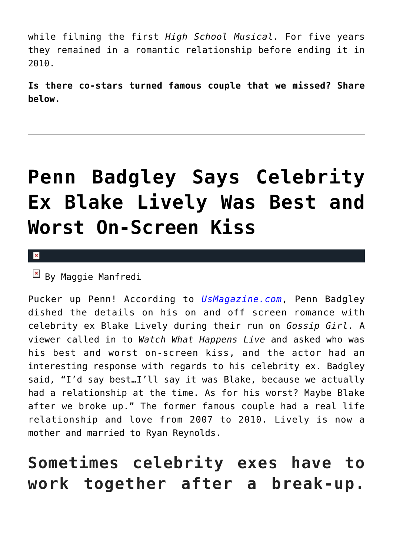while filming the first *High School Musical.* For five years they remained in a romantic relationship before ending it in 2010.

**Is there co-stars turned famous couple that we missed? Share below.**

## **[Penn Badgley Says Celebrity](https://cupidspulse.com/88701/penn-badgley-celebrity-ex-blake-lively-on-screen-kiss/) [Ex Blake Lively Was Best and](https://cupidspulse.com/88701/penn-badgley-celebrity-ex-blake-lively-on-screen-kiss/) [Worst On-Screen Kiss](https://cupidspulse.com/88701/penn-badgley-celebrity-ex-blake-lively-on-screen-kiss/)**

 $\pmb{\times}$ 

 $\overline{B}$  By Maggie Manfredi

Pucker up Penn! According to *[UsMagazine.com](http://www.usmagazine.com/entertainment/news/penn-badgley-says-blake-lively-was-his-best-on-screen-kiss-and-worst-2015123)*, Penn Badgley dished the details on his on and off screen romance with celebrity ex Blake Lively during their run on *Gossip Girl*. A viewer called in to *Watch What Happens Live* and asked who was his best and worst on-screen kiss, and the actor had an interesting response with regards to his celebrity ex. Badgley said, "I'd say best…I'll say it was Blake, because we actually had a relationship at the time. As for his worst? Maybe Blake after we broke up." The former famous couple had a real life relationship and love from 2007 to 2010. Lively is now a mother and married to Ryan Reynolds.

### **Sometimes celebrity exes have to work together after a break-up.**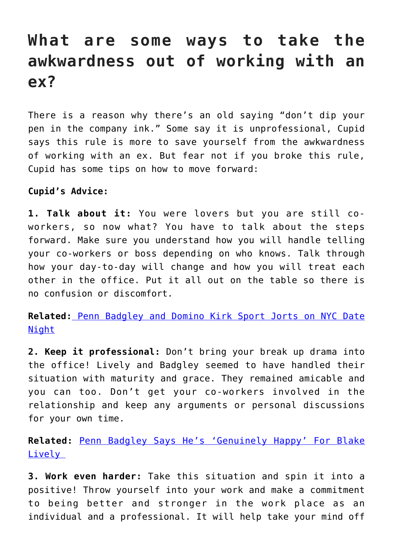### **What are some ways to take the awkwardness out of working with an ex?**

There is a reason why there's an old saying "don't dip your pen in the company ink." Some say it is unprofessional, Cupid says this rule is more to save yourself from the awkwardness of working with an ex. But fear not if you broke this rule, Cupid has some tips on how to move forward:

#### **Cupid's Advice:**

**1. Talk about it:** You were lovers but you are still coworkers, so now what? You have to talk about the steps forward. Make sure you understand how you will handle telling your co-workers or boss depending on who knows. Talk through how your day-to-day will change and how you will treat each other in the office. Put it all out on the table so there is no confusion or discomfort.

**Related:** [Penn Badgley and Domino Kirk Sport Jorts on NYC Date](http://cupidspulse.com/77847/penn-badgley-domino-kirke-dating/) [Night](http://cupidspulse.com/77847/penn-badgley-domino-kirke-dating/)

**2. Keep it professional:** Don't bring your break up drama into the office! Lively and Badgley seemed to have handled their situation with maturity and grace. They remained amicable and you can too. Don't get your co-workers involved in the relationship and keep any arguments or personal discussions for your own time.

**Related:** [Penn Badgley Says He's 'Genuinely Happy' For Blake](http://cupidspulse.com/38051/penn-badgley-happy-blake-lively-marriage-ryan-reynolds/) Lively

**3. Work even harder:** Take this situation and spin it into a positive! Throw yourself into your work and make a commitment to being better and stronger in the work place as an individual and a professional. It will help take your mind off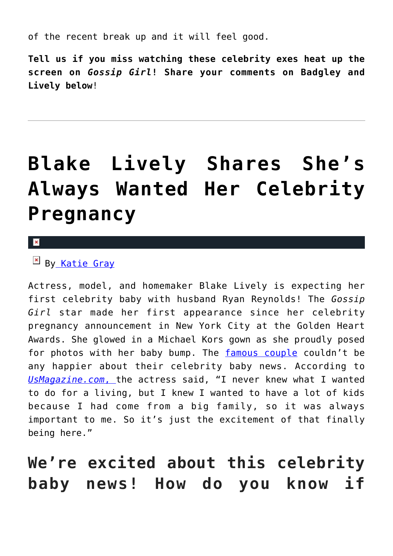of the recent break up and it will feel good.

**Tell us if you miss watching these celebrity exes heat up the screen on** *Gossip Girl***! Share your comments on Badgley and Lively below**!

# **[Blake Lively Shares She's](https://cupidspulse.com/81960/blake-lively-pregnancy-what-she-always-wanted/) [Always Wanted Her Celebrity](https://cupidspulse.com/81960/blake-lively-pregnancy-what-she-always-wanted/) [Pregnancy](https://cupidspulse.com/81960/blake-lively-pregnancy-what-she-always-wanted/)**

 $\mathbf x$ 

#### $\overline{P}$  B[y Katie Gray](http://cupidspulse.com/105088/katie-gray/)

Actress, model, and homemaker Blake Lively is expecting her first celebrity baby with husband Ryan Reynolds! The *Gossip Girl* star made her first appearance since her celebrity pregnancy announcement in New York City at the Golden Heart Awards. She glowed in a Michael Kors gown as she proudly posed for photos with her baby bump. The [famous couple](http://cupidspulse.com/celebrity-relationships/) couldn't be any happier about their celebrity baby news. According to *[UsMagazine.com](http://www.usmagazine.com/celebrity-moms/news/blake-lively-at-michael-kors-event-20141710)*[, t](http://www.usmagazine.com/celebrity-moms/news/blake-lively-at-michael-kors-event-20141710)he actress said, "I never knew what I wanted to do for a living, but I knew I wanted to have a lot of kids because I had come from a big family, so it was always important to me. So it's just the excitement of that finally being here."

### **We're excited about this celebrity baby news! How do you know if**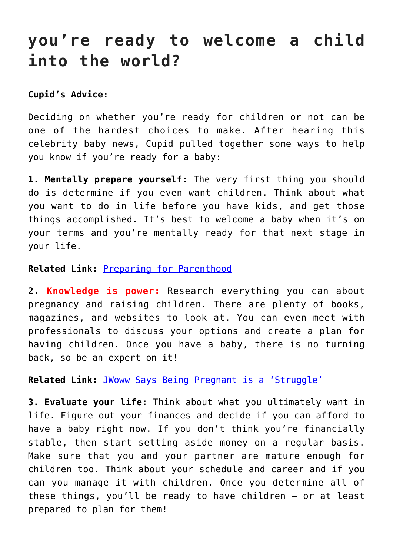### **you're ready to welcome a child into the world?**

#### **Cupid's Advice:**

Deciding on whether you're ready for children or not can be one of the hardest choices to make. After hearing this celebrity baby news, Cupid pulled together some ways to help you know if you're ready for a baby:

**1. Mentally prepare yourself:** The very first thing you should do is determine if you even want children. Think about what you want to do in life before you have kids, and get those things accomplished. It's best to welcome a baby when it's on your terms and you're mentally ready for that next stage in your life.

#### **Related Link:** [Preparing for Parenthood](http://cupidspulse.com/73407/cupids-weekly-round-up-preparing-for-parenthood/)

**2. Knowledge is power:** Research everything you can about pregnancy and raising children. There are plenty of books, magazines, and websites to look at. You can even meet with professionals to discuss your options and create a plan for having children. Once you have a baby, there is no turning back, so be an expert on it!

**Related Link:** [JWoww Says Being Pregnant is a 'Struggle'](http://cupidspulse.com/73222/jwoww-hates-being-pregnant/)

**3. Evaluate your life:** Think about what you ultimately want in life. Figure out your finances and decide if you can afford to have a baby right now. If you don't think you're financially stable, then start setting aside money on a regular basis. Make sure that you and your partner are mature enough for children too. Think about your schedule and career and if you can you manage it with children. Once you determine all of these things, you'll be ready to have children — or at least prepared to plan for them!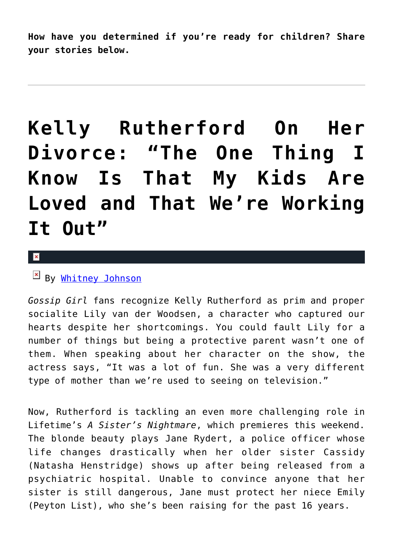**How have you determined if you're ready for children? Share your stories below.**

## **[Kelly Rutherford On Her](https://cupidspulse.com/56925/kelly-rutherford-sisters-nightmare-divorce-custody/) [Divorce: "The One Thing I](https://cupidspulse.com/56925/kelly-rutherford-sisters-nightmare-divorce-custody/) [Know Is That My Kids Are](https://cupidspulse.com/56925/kelly-rutherford-sisters-nightmare-divorce-custody/) [Loved and That We're Working](https://cupidspulse.com/56925/kelly-rutherford-sisters-nightmare-divorce-custody/) [It Out"](https://cupidspulse.com/56925/kelly-rutherford-sisters-nightmare-divorce-custody/)**

#### $\mathbf{x}$

#### $\mathbb{E}$  By [Whitney Johnson](http://cupidspulse.com/104601/whitney-johnson/)

*Gossip Girl* fans recognize Kelly Rutherford as prim and proper socialite Lily van der Woodsen, a character who captured our hearts despite her shortcomings. You could fault Lily for a number of things but being a protective parent wasn't one of them. When speaking about her character on the show, the actress says, "It was a lot of fun. She was a very different type of mother than we're used to seeing on television."

Now, Rutherford is tackling an even more challenging role in Lifetime's *A Sister's Nightmare*, which premieres this weekend. The blonde beauty plays Jane Rydert, a police officer whose life changes drastically when her older sister Cassidy (Natasha Henstridge) shows up after being released from a psychiatric hospital. Unable to convince anyone that her sister is still dangerous, Jane must protect her niece Emily (Peyton List), who she's been raising for the past 16 years.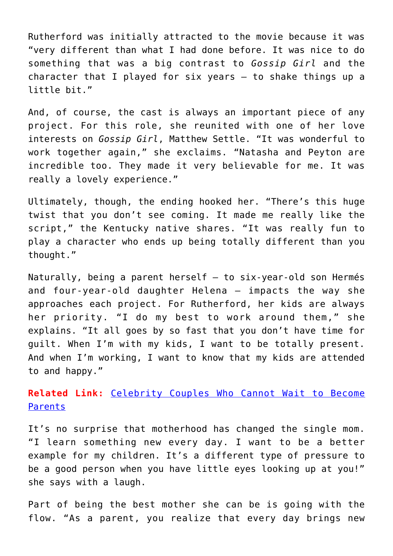Rutherford was initially attracted to the movie because it was "very different than what I had done before. It was nice to do something that was a big contrast to *Gossip Girl* and the character that I played for six years — to shake things up a little bit."

And, of course, the cast is always an important piece of any project. For this role, she reunited with one of her love interests on *Gossip Girl*, Matthew Settle. "It was wonderful to work together again," she exclaims. "Natasha and Peyton are incredible too. They made it very believable for me. It was really a lovely experience."

Ultimately, though, the ending hooked her. "There's this huge twist that you don't see coming. It made me really like the script," the Kentucky native shares. "It was really fun to play a character who ends up being totally different than you thought."

Naturally, being a parent herself — to six-year-old son Hermés and four-year-old daughter Helena — impacts the way she approaches each project. For Rutherford, her kids are always her priority. "I do my best to work around them," she explains. "It all goes by so fast that you don't have time for guilt. When I'm with my kids, I want to be totally present. And when I'm working, I want to know that my kids are attended to and happy."

**Related Link:** [Celebrity Couples Who Cannot Wait to Become](http://cupidspulse.com/celebrity-couples-who-become-parents/) [Parents](http://cupidspulse.com/celebrity-couples-who-become-parents/)

It's no surprise that motherhood has changed the single mom. "I learn something new every day. I want to be a better example for my children. It's a different type of pressure to be a good person when you have little eyes looking up at you!" she says with a laugh.

Part of being the best mother she can be is going with the flow. "As a parent, you realize that every day brings new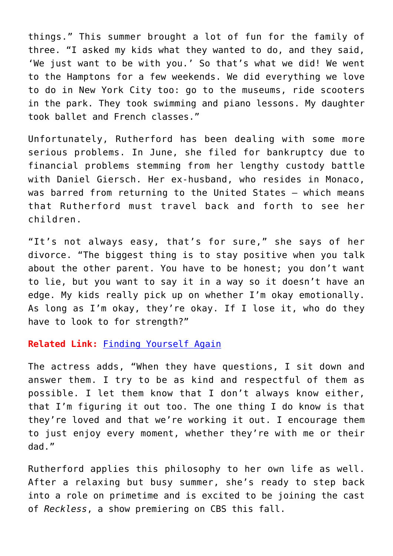things." This summer brought a lot of fun for the family of three. "I asked my kids what they wanted to do, and they said, 'We just want to be with you.' So that's what we did! We went to the Hamptons for a few weekends. We did everything we love to do in New York City too: go to the museums, ride scooters in the park. They took swimming and piano lessons. My daughter took ballet and French classes."

Unfortunately, Rutherford has been dealing with some more serious problems. In June, she filed for bankruptcy due to financial problems stemming from her lengthy custody battle with Daniel Giersch. Her ex-husband, who resides in Monaco, was barred from returning to the United States — which means that Rutherford must travel back and forth to see her children.

"It's not always easy, that's for sure," she says of her divorce. "The biggest thing is to stay positive when you talk about the other parent. You have to be honest; you don't want to lie, but you want to say it in a way so it doesn't have an edge. My kids really pick up on whether I'm okay emotionally. As long as I'm okay, they're okay. If I lose it, who do they have to look to for strength?"

#### **Related Link:** [Finding Yourself Again](http://cupidspulse.com/finding-yourself-again-katie-holmes-molly-reynolds-hope-after-divorce/)

The actress adds, "When they have questions, I sit down and answer them. I try to be as kind and respectful of them as possible. I let them know that I don't always know either, that I'm figuring it out too. The one thing I do know is that they're loved and that we're working it out. I encourage them to just enjoy every moment, whether they're with me or their dad."

Rutherford applies this philosophy to her own life as well. After a relaxing but busy summer, she's ready to step back into a role on primetime and is excited to be joining the cast of *Reckless*, a show premiering on CBS this fall.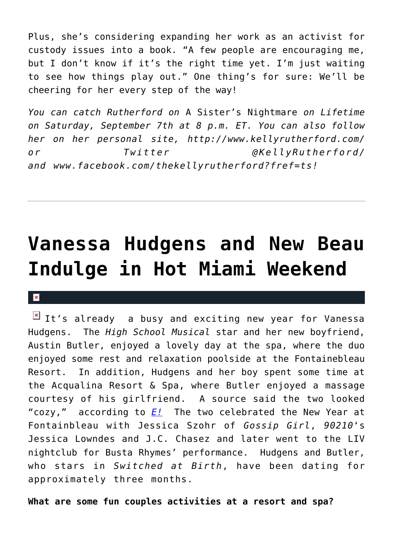Plus, she's considering expanding her work as an activist for custody issues into a book. "A few people are encouraging me, but I don't know if it's the right time yet. I'm just waiting to see how things play out." One thing's for sure: We'll be cheering for her every step of the way!

*You can catch Rutherford on* A Sister's Nightmare *on Lifetime on Saturday, September 7th at 8 p.m. ET. You can also follow her on her personal site, http://www.kellyrutherford.com/ or Twitter @KellyRutherford/ and www.facebook.com/thekellyrutherford?fref=ts!* 

## **[Vanessa Hudgens and New Beau](https://cupidspulse.com/24831/vanessa-hudgens-and-new-beau-austin-butler-indulge-in-hot-miami-vacation-weekend-at-reosrt/) [Indulge in Hot Miami Weekend](https://cupidspulse.com/24831/vanessa-hudgens-and-new-beau-austin-butler-indulge-in-hot-miami-vacation-weekend-at-reosrt/)**

#### $\mathbf{x}$

 $\boxed{\times}$  It's already a busy and exciting new year for Vanessa Hudgens. The *High School Musical* star and her new boyfriend, Austin Butler, enjoyed a lovely day at the spa, where the duo enjoyed some rest and relaxation poolside at the Fontainebleau Resort. In addition, Hudgens and her boy spent some time at the Acqualina Resort & Spa, where Butler enjoyed a massage courtesy of his girlfriend. A source said the two looked "cozy," according to *[E!](http://www.eonline.com/news/marc_malkin/vanessa_hudgens_boyfriends_hot_miami/283552)* The two celebrated the New Year at Fontainbleau with Jessica Szohr of *Gossip Girl*, *90210*'s Jessica Lowndes and J.C. Chasez and later went to the LIV nightclub for Busta Rhymes' performance. Hudgens and Butler, who stars in *Switched at Birth*, have been dating for approximately three months.

**What are some fun couples activities at a resort and spa?**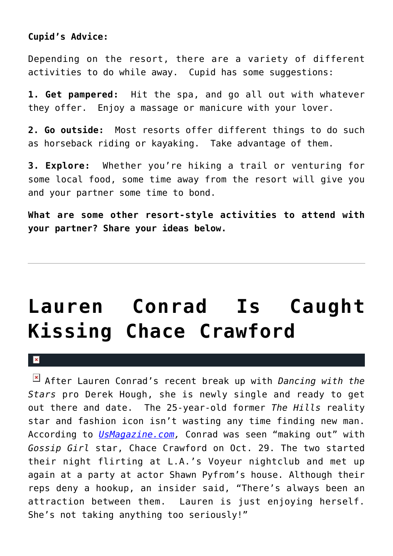#### **Cupid's Advice:**

Depending on the resort, there are a variety of different activities to do while away. Cupid has some suggestions:

**1. Get pampered:** Hit the spa, and go all out with whatever they offer. Enjoy a massage or manicure with your lover.

**2. Go outside:** Most resorts offer different things to do such as horseback riding or kayaking. Take advantage of them.

**3. Explore:** Whether you're hiking a trail or venturing for some local food, some time away from the resort will give you and your partner some time to bond.

**What are some other resort-style activities to attend with your partner? Share your ideas below.**

## **[Lauren Conrad Is Caught](https://cupidspulse.com/22494/hills-reality-tv-star-lauren-conrad-caught-making-out-kissing-gossip-girl-actor-chace-crawford/) [Kissing Chace Crawford](https://cupidspulse.com/22494/hills-reality-tv-star-lauren-conrad-caught-making-out-kissing-gossip-girl-actor-chace-crawford/)**

×

After Lauren Conrad's recent break up with *Dancing with the Stars* pro Derek Hough, she is newly single and ready to get out there and date. The 25-year-old former *The Hills* reality star and fashion icon isn't wasting any time finding new man. According to *[UsMagazine.com](http://www.usmagazine.com/celebrity-news/news/lauren-conrad-caught-making-out-with-chace-crawford-2011911),* Conrad was seen "making out" with *Gossip Girl* star, Chace Crawford on Oct. 29. The two started their night flirting at L.A.'s Voyeur nightclub and met up again at a party at actor Shawn Pyfrom's house. Although their reps deny a hookup, an insider said, "There's always been an attraction between them. Lauren is just enjoying herself. She's not taking anything too seriously!"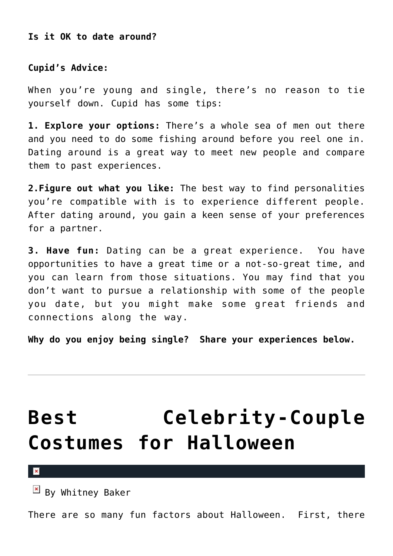**Is it OK to date around?**

**Cupid's Advice:**

When you're young and single, there's no reason to tie yourself down. Cupid has some tips:

**1. Explore your options:** There's a whole sea of men out there and you need to do some fishing around before you reel one in. Dating around is a great way to meet new people and compare them to past experiences.

**2.Figure out what you like:** The best way to find personalities you're compatible with is to experience different people. After dating around, you gain a keen sense of your preferences for a partner.

**3. Have fun:** Dating can be a great experience. You have opportunities to have a great time or a not-so-great time, and you can learn from those situations. You may find that you don't want to pursue a relationship with some of the people you date, but you might make some great friends and connections along the way.

**Why do you enjoy being single? Share your experiences below.**

## **[Best Celebrity-Couple](https://cupidspulse.com/17997/best-celebrity-couple-costumes-halloween/) [Costumes for Halloween](https://cupidspulse.com/17997/best-celebrity-couple-costumes-halloween/)**

 $\mathbf x$ 

 $\mathbb{E}$  By Whitney Baker

There are so many fun factors about Halloween. First, there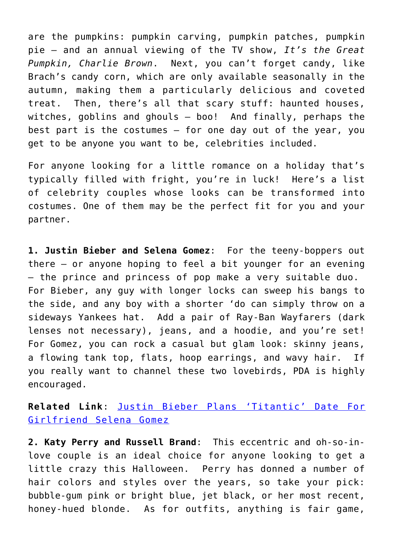are the pumpkins: pumpkin carving, pumpkin patches, pumpkin pie — and an annual viewing of the TV show, *It's the Great Pumpkin, Charlie Brown*. Next, you can't forget candy, like Brach's candy corn, which are only available seasonally in the autumn, making them a particularly delicious and coveted treat. Then, there's all that scary stuff: haunted houses, witches, goblins and ghouls — boo! And finally, perhaps the best part is the costumes – for one day out of the year, you get to be anyone you want to be, celebrities included.

For anyone looking for a little romance on a holiday that's typically filled with fright, you're in luck! Here's a list of celebrity couples whose looks can be transformed into costumes. One of them may be the perfect fit for you and your partner.

**1. Justin Bieber and Selena Gomez**: For the teeny-boppers out there — or anyone hoping to feel a bit younger for an evening — the prince and princess of pop make a very suitable duo. For Bieber, any guy with longer locks can sweep his bangs to the side, and any boy with a shorter 'do can simply throw on a sideways Yankees hat. Add a pair of Ray-Ban Wayfarers (dark lenses not necessary), jeans, and a hoodie, and you're set! For Gomez, you can rock a casual but glam look: skinny jeans, a flowing tank top, flats, hoop earrings, and wavy hair. If you really want to channel these two lovebirds, PDA is highly encouraged.

**Related Link**: [Justin Bieber Plans 'Titantic' Date For](http://cupidspulse.com/justin-bieber-plans-titanic-date-girlfriend-selena-gomez-romance/) [Girlfriend Selena Gomez](http://cupidspulse.com/justin-bieber-plans-titanic-date-girlfriend-selena-gomez-romance/)

**2. Katy Perry and Russell Brand**: This eccentric and oh-so-inlove couple is an ideal choice for anyone looking to get a little crazy this Halloween. Perry has donned a number of hair colors and styles over the years, so take your pick: bubble-gum pink or bright blue, jet black, or her most recent, honey-hued blonde. As for outfits, anything is fair game,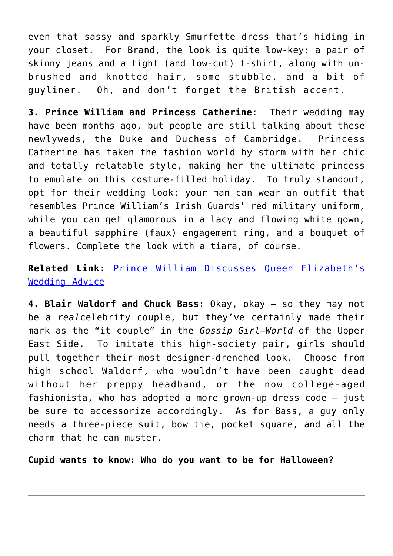even that sassy and sparkly Smurfette dress that's hiding in your closet. For Brand, the look is quite low-key: a pair of skinny jeans and a tight (and low-cut) t-shirt, along with unbrushed and knotted hair, some stubble, and a bit of guyliner. Oh, and don't forget the British accent.

**3. Prince William and Princess Catherine**: Their wedding may have been months ago, but people are still talking about these newlyweds, the Duke and Duchess of Cambridge. Princess Catherine has taken the fashion world by storm with her chic and totally relatable style, making her the ultimate princess to emulate on this costume-filled holiday. To truly standout, opt for their wedding look: your man can wear an outfit that resembles Prince William's Irish Guards' red military uniform, while you can get glamorous in a lacy and flowing white gown, a beautiful sapphire (faux) engagement ring, and a bouquet of flowers. Complete the look with a tiara, of course.

#### **Related Link:** [Prince William Discusses Queen Elizabeth's](http://cupidspulse.com/prince-william-discusses-queen-elizabeths-wedding-advice-kate-middleton-princess-diana/) [Wedding Advice](http://cupidspulse.com/prince-william-discusses-queen-elizabeths-wedding-advice-kate-middleton-princess-diana/)

**4. Blair Waldorf and Chuck Bass**: Okay, okay — so they may not be a *real*celebrity couple, but they've certainly made their mark as the "it couple" in the *Gossip Girl*–*World* of the Upper East Side. To imitate this high-society pair, girls should pull together their most designer-drenched look. Choose from high school Waldorf, who wouldn't have been caught dead without her preppy headband, or the now college-aged fashionista, who has adopted a more grown-up dress code — just be sure to accessorize accordingly. As for Bass, a guy only needs a three-piece suit, bow tie, pocket square, and all the charm that he can muster.

**Cupid wants to know: Who do you want to be for Halloween?**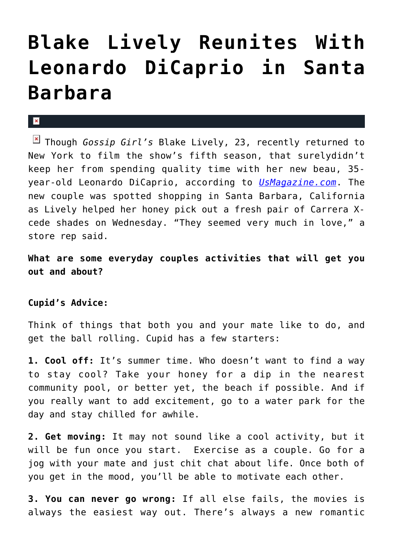## **[Blake Lively Reunites With](https://cupidspulse.com/17579/blake-lively-reunites-with-leonardo-dicaprio-in-santa-barbara/) [Leonardo DiCaprio in Santa](https://cupidspulse.com/17579/blake-lively-reunites-with-leonardo-dicaprio-in-santa-barbara/) [Barbara](https://cupidspulse.com/17579/blake-lively-reunites-with-leonardo-dicaprio-in-santa-barbara/)**

#### $\mathbf{x}$

Though *Gossip Girl's* Blake Lively, 23, recently returned to New York to film the show's fifth season, that surelydidn't keep her from spending quality time with her new beau, 35 year-old Leonardo DiCaprio, according to *[UsMagazine.com](http://www.usmagazine.com/celebritynews/news/blake-lively-reunites-with-leonardo-dicaprio-in-santa-barbara-2011227)*. The new couple was spotted shopping in Santa Barbara, California as Lively helped her honey pick out a fresh pair of Carrera Xcede shades on Wednesday. "They seemed very much in love," a store rep said.

**What are some everyday couples activities that will get you out and about?**

#### **Cupid's Advice:**

Think of things that both you and your mate like to do, and get the ball rolling. Cupid has a few starters:

**1. Cool off:** It's summer time. Who doesn't want to find a way to stay cool? Take your honey for a dip in the nearest community pool, or better yet, the beach if possible. And if you really want to add excitement, go to a water park for the day and stay chilled for awhile.

**2. Get moving:** It may not sound like a cool activity, but it will be fun once you start. Exercise as a couple. Go for a jog with your mate and just chit chat about life. Once both of you get in the mood, you'll be able to motivate each other.

**3. You can never go wrong:** If all else fails, the movies is always the easiest way out. There's always a new romantic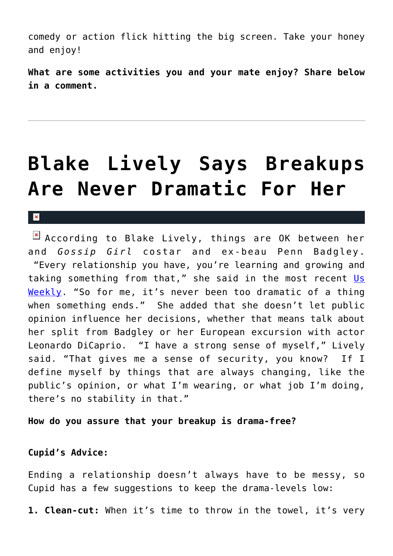comedy or action flick hitting the big screen. Take your honey and enjoy!

**What are some activities you and your mate enjoy? Share below in a comment.**

### **[Blake Lively Says Breakups](https://cupidspulse.com/15734/blake-lively-says-breakups-are-never-dramatic-for-her/) [Are Never Dramatic For Her](https://cupidspulse.com/15734/blake-lively-says-breakups-are-never-dramatic-for-her/)**

#### $\mathbf{R}$

**E** According to Blake Lively, things are OK between her and *Gossip Girl* costar and ex-beau Penn Badgley. "Every relationship you have, you're learning and growing and taking something from that," she said in the most recent [Us](http://www.usmagazine.com/moviestvmusic/news/blake-lively-opens-up-about-ex-penn-badgley-201116) [Weekly.](http://www.usmagazine.com/moviestvmusic/news/blake-lively-opens-up-about-ex-penn-badgley-201116) "So for me, it's never been too dramatic of a thing when something ends." She added that she doesn't let public opinion influence her decisions, whether that means talk about her split from Badgley or her European excursion with actor Leonardo DiCaprio. "I have a strong sense of myself," Lively said. "That gives me a sense of security, you know? If I define myself by things that are always changing, like the public's opinion, or what I'm wearing, or what job I'm doing, there's no stability in that."

**How do you assure that your breakup is drama-free?**

#### **Cupid's Advice:**

Ending a relationship doesn't always have to be messy, so Cupid has a few suggestions to keep the drama-levels low:

**1. Clean-cut:** When it's time to throw in the towel, it's very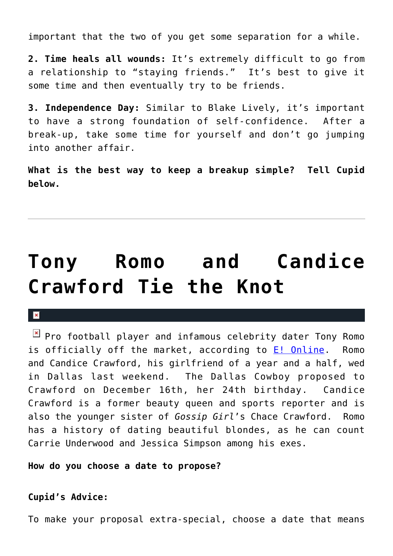important that the two of you get some separation for a while.

**2. Time heals all wounds:** It's extremely difficult to go from a relationship to "staying friends." It's best to give it some time and then eventually try to be friends.

**3. Independence Day:** Similar to Blake Lively, it's important to have a strong foundation of self-confidence. After a break-up, take some time for yourself and don't go jumping into another affair.

**What is the best way to keep a breakup simple? Tell Cupid below.**

# **[Tony Romo and Candice](https://cupidspulse.com/15566/tony-romo-and-candice-crawford-tie-the-knot/) [Crawford Tie the Knot](https://cupidspulse.com/15566/tony-romo-and-candice-crawford-tie-the-knot/)**

#### $\mathbf{x}$

 $\boxed{\times}$  Pro football player and infamous celebrity dater Tony Romo is officially off the market, according to [E! Online.](http://www.eonline.com/uberblog/b244345_touchdown_tony_romo_marries_candice.html) Romo and Candice Crawford, his girlfriend of a year and a half, wed in Dallas last weekend. The Dallas Cowboy proposed to Crawford on December 16th, her 24th birthday. Candice Crawford is a former beauty queen and sports reporter and is also the younger sister of *Gossip Girl*'s Chace Crawford. Romo has a history of dating beautiful blondes, as he can count Carrie Underwood and Jessica Simpson among his exes.

**How do you choose a date to propose?**

#### **Cupid's Advice:**

To make your proposal extra-special, choose a date that means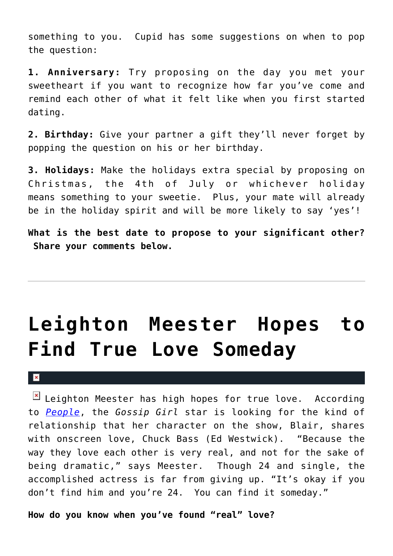something to you. Cupid has some suggestions on when to pop the question:

**1. Anniversary:** Try proposing on the day you met your sweetheart if you want to recognize how far you've come and remind each other of what it felt like when you first started dating.

**2. Birthday:** Give your partner a gift they'll never forget by popping the question on his or her birthday.

**3. Holidays:** Make the holidays extra special by proposing on Christmas, the 4th of July or whichever holiday means something to your sweetie. Plus, your mate will already be in the holiday spirit and will be more likely to say 'yes'!

**What is the best date to propose to your significant other? Share your comments below.**

## **[Leighton Meester Hopes to](https://cupidspulse.com/8341/leighton-meester-hopes-to-someday-find-true-love/) [Find True Love Someday](https://cupidspulse.com/8341/leighton-meester-hopes-to-someday-find-true-love/)**

#### $\mathbf{x}$

 $\boxed{\times}$  Leighton Meester has high hopes for true love. According to *[People](http://www.people.com/people/article/0,,20449439,00.html)*, the *Gossip Girl* star is looking for the kind of relationship that her character on the show, Blair, shares with onscreen love, Chuck Bass (Ed Westwick). "Because the way they love each other is very real, and not for the sake of being dramatic," says Meester. Though 24 and single, the accomplished actress is far from giving up. "It's okay if you don't find him and you're 24. You can find it someday."

**How do you know when you've found "real" love?**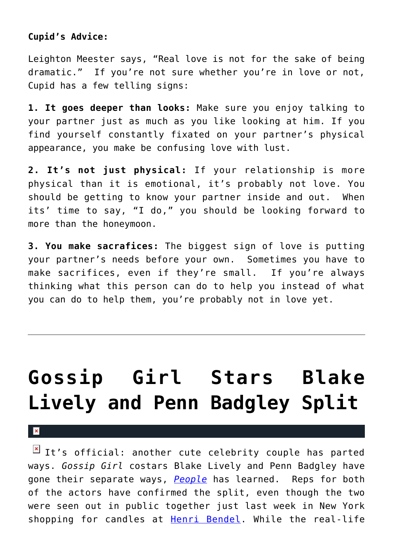#### **Cupid's Advice:**

Leighton Meester says, "Real love is not for the sake of being dramatic." If you're not sure whether you're in love or not, Cupid has a few telling signs:

**1. It goes deeper than looks:** Make sure you enjoy talking to your partner just as much as you like looking at him. If you find yourself constantly fixated on your partner's physical appearance, you make be confusing love with lust.

**2. It's not just physical:** If your relationship is more physical than it is emotional, it's probably not love. You should be getting to know your partner inside and out. When its' time to say, "I do," you should be looking forward to more than the honeymoon.

**3. You make sacrafices:** The biggest sign of love is putting your partner's needs before your own. Sometimes you have to make sacrifices, even if they're small. If you're always thinking what this person can do to help you instead of what you can do to help them, you're probably not in love yet.

# **[Gossip Girl Stars Blake](https://cupidspulse.com/5796/gossip-girl-stars-blake-lively-and-penn-badgley-split/) [Lively and Penn Badgley Split](https://cupidspulse.com/5796/gossip-girl-stars-blake-lively-and-penn-badgley-split/)**

×

 $\overline{1}$  It's official: another cute celebrity couple has parted ways. *Gossip Girl* costars Blake Lively and Penn Badgley have gone their separate ways, *[People](http://www.people.com/people/article/0,,20437192,00.html)* has learned. Reps for both of the actors have confirmed the split, even though the two were seen out in public together just last week in New York shopping for candles at [Henri Bendel](http://www.henribendel.com/). While the real-life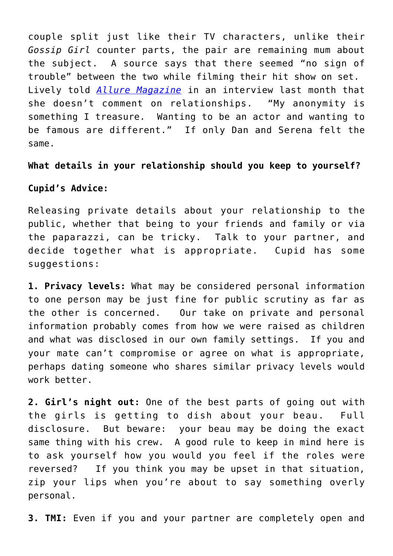couple split just like their TV characters, unlike their *Gossip Girl* counter parts, the pair are remaining mum about the subject. A source says that there seemed "no sign of trouble" between the two while filming their hit show on set. Lively told *[Allure Magazine](http://www.allure.com/)* in an interview last month that she doesn't comment on relationships. "My anonymity is something I treasure. Wanting to be an actor and wanting to be famous are different." If only Dan and Serena felt the same.

**What details in your relationship should you keep to yourself?**

#### **Cupid's Advice:**

Releasing private details about your relationship to the public, whether that being to your friends and family or via the paparazzi, can be tricky. Talk to your partner, and decide together what is appropriate. Cupid has some suggestions:

**1. Privacy levels:** What may be considered personal information to one person may be just fine for public scrutiny as far as the other is concerned. Our take on private and personal information probably comes from how we were raised as children and what was disclosed in our own family settings. If you and your mate can't compromise or agree on what is appropriate, perhaps dating someone who shares similar privacy levels would work better.

**2. Girl's night out:** One of the best parts of going out with the girls is getting to dish about your beau. Full disclosure. But beware: your beau may be doing the exact same thing with his crew. A good rule to keep in mind here is to ask yourself how you would you feel if the roles were reversed? If you think you may be upset in that situation, zip your lips when you're about to say something overly personal.

**3. TMI:** Even if you and your partner are completely open and